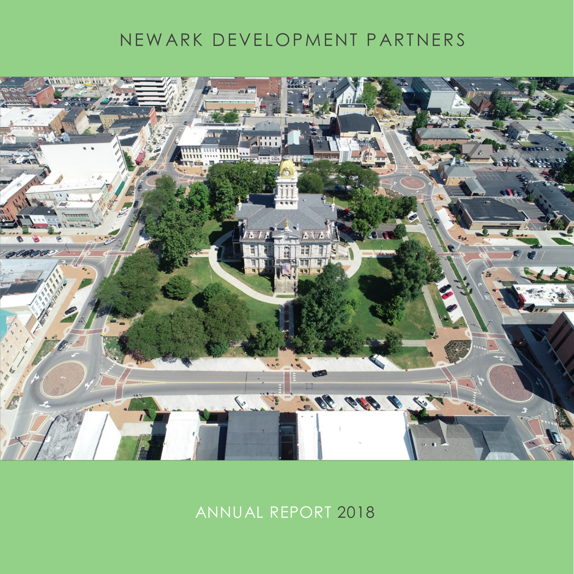### NEW ARK DEVELOPMENT PARTNERS



ANNUAL REPORT 2018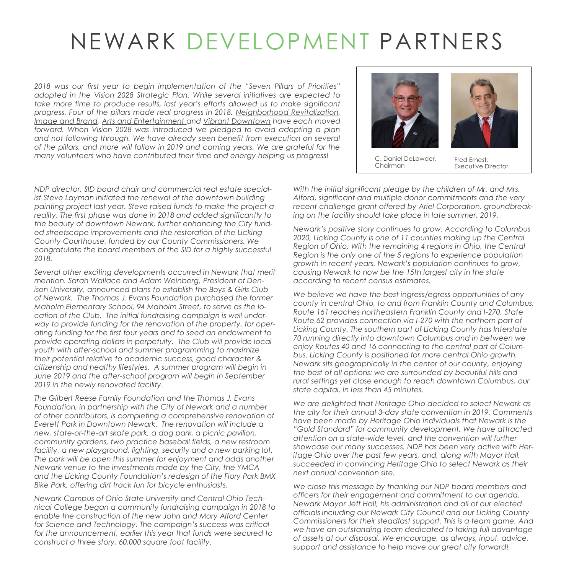# NEWARK DEVELOPMENT PARTNERS

*2018 was our first year to begin implementation of the "Seven Pillars of Priorities" adopted in the Vision 2028 Strategic Plan. While several initiatives are expected to*  take more time to produce results, last year's efforts allowed us to make significant *progress. Four of the pillars made real progress in 2018. Neighborhood Revitalization, Image and Brand, Arts and Entertainment and Vibrant Downtown have each moved forward. When Vision 2028 was introduced we pledged to avoid adopting a plan*  and not following through. We have already seen benefit from execution on several *of the pillars, and more will follow in 2019 and coming years. We are grateful for the many volunteers who have contributed their time and energy helping us progress!*



C. Daniel DeLawder, Chairman

Fred Ernest, Executive Director

*NDP director, SID board chair and commercial real estate specialist Steve Layman initiated the renewal of the downtown building painting project last year. Steve raised funds to make the project a reality. The first phase was done in 2018 and added significantly to the beauty of downtown Newark, further enhancing the City funded streetscape improvements and the restoration of the Licking County Courthouse, funded by our County Commissioners. We congratulate the board members of the SID for a highly successful 2018.*

*Several other exciting developments occurred in Newark that merit mention. Sarah Wallace and Adam Weinberg, President of Denison University, announced plans to establish the Boys & Girls Club of Newark. The Thomas J. Evans Foundation purchased the former Maholm Elementary School, 94 Maholm Street, to serve as the location of the Club. The initial fundraising campaign is well underway to provide funding for the renovation of the property, for operating funding for the first four years and to seed an endowment to provide operating dollars in perpetuity. The Club will provide local youth with after-school and summer programming to maximize their potential relative to academic success, good character & citizenship and healthy lifestyles. A summer program will begin in June 2019 and the after-school program will begin in September 2019 in the newly renovated facility.*

*The Gilbert Reese Family Foundation and the Thomas J. Evans Foundation, in partnership with the City of Newark and a number of other contributors, is completing a comprehensive renovation of Everett Park in Downtown Newark. The renovation will include a new, state-or-the-art skate park, a dog park, a picnic pavilion, community gardens, two practice baseball fields, a new restroom facility, a new playground, lighting, security and a new parking lot. The park will be open this summer for enjoyment and adds another Newark venue to the investments made by the City, the YMCA and the Licking County Foundation's redesign of the Flory Park BMX Bike Park, offering dirt track fun for bicycle enthusiasts.*

*Newark Campus of Ohio State University and Central Ohio Technical College began a community fundraising campaign in 2018 to enable the construction of the new John and Mary Alford Center for Science and Technology. The campaign's success was critical for the announcement, earlier this year that funds were secured to construct a three story, 60,000 square foot facility.* 

*With the initial significant pledge by the children of Mr. and Mrs. Alford, significant and multiple donor commitments and the very recent challenge grant offered by Ariel Corporation, groundbreak*ing on the facility should take place in late summer, 2019.

*Newark's positive story continues to grow. According to Columbus 2020, Licking County is one of 11 counties making up the Central Region of Ohio. With the remaining 4 regions in Ohio, the Central Region is the only one of the 5 regions to experience population growth in recent years. Newark's population continues to grow, causing Newark to now be the 15th largest city in the state according to recent census estimates.*

*We believe we have the best ingress/egress opportunities of any county in central Ohio, to and from Franklin County and Columbus. Route 161 reaches northeastern Franklin County and I-270. State Route 62 provides connection via I-270 with the northern part of Licking County. The southern part of Licking County has Interstate 70 running directly into downtown Columbus and in between we enjoy Routes 40 and 16 connecting to the central part of Columbus. Licking County is positioned for more central Ohio growth. Newark sits geographically in the center of our county, enjoying the best of all options: we are surrounded by beautiful hills and rural settings yet close enough to reach downtown Columbus, our state capital, in less than 45 minutes.*

*We are delighted that Heritage Ohio decided to select Newark as the city for their annual 3-day state convention in 2019. Comments have been made by Heritage Ohio individuals that Newark is the "Gold Standard" for community development. We have attracted attention on a state-wide level, and the convention will further showcase our many successes. NDP has been very active with Heritage Ohio over the past few years, and, along with Mayor Hall, succeeded in convincing Heritage Ohio to select Newark as their next annual convention site.*

*We close this message by thanking our NDP board members and officers for their engagement and commitment to our agenda, Newark Mayor Jeff Hall, his administration and all of our elected officials including our Newark City Council and our Licking County Commissioners for their steadfast support. This is a team game. And we have an outstanding team dedicated to taking full advantage of assets at our disposal. We encourage, as always, input, advice, support and assistance to help move our great city forward!*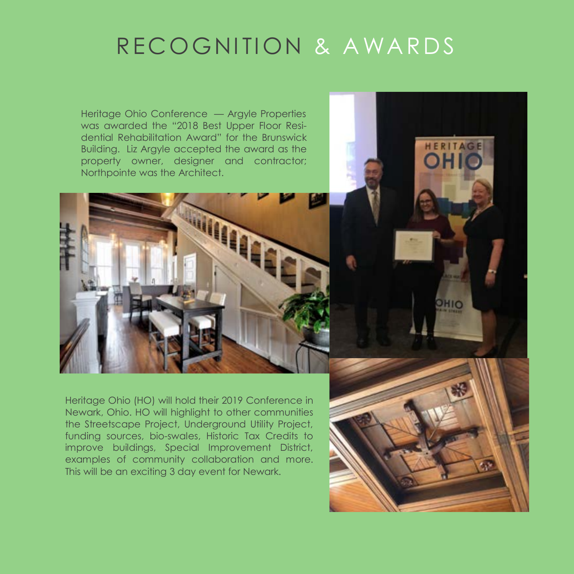# RECOGNITION & AWARDS

Heritage Ohio Conference — Argyle Properties was awarded the "2018 Best Upper Floor Residential Rehabilitation Award" for the Brunswick Building. Liz Argyle accepted the award as the property owner, designer and contractor; Northpointe was the Architect.



Heritage Ohio (HO) will hold their 2019 Conference in Newark, Ohio. HO will highlight to other communities the Streetscape Project, Underground Utility Project, funding sources, bio-swales, Historic Tax Credits to improve buildings, Special Improvement District, examples of community collaboration and more. This will be an exciting 3 day event for Newark.



HERITAGE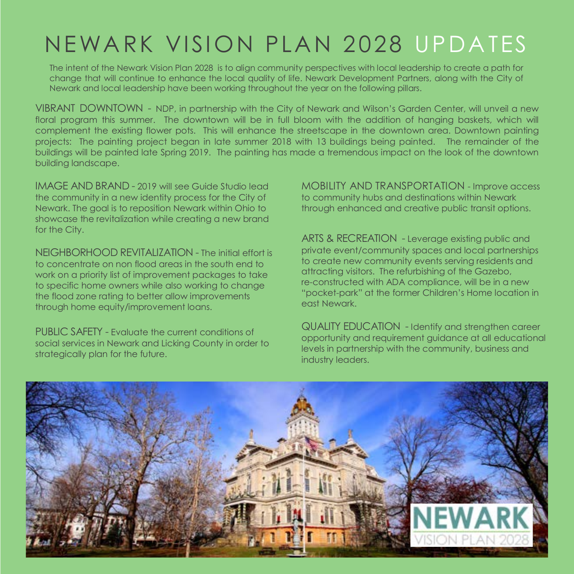# NEWARK VISION PLAN 2028 UPDATES

The intent of the Newark Vision Plan 2028 is to align community perspectives with local leadership to create a path for change that will continue to enhance the local quality of life. Newark Development Partners, along with the City of Newark and local leadership have been working throughout the year on the following pillars.

VIBRANT DOWNTOWN - NDP, in partnership with the City of Newark and Wilson's Garden Center, will unveil a new floral program this summer. The downtown will be in full bloom with the addition of hanging baskets, which will complement the existing flower pots. This will enhance the streetscape in the downtown area. Downtown painting projects: The painting project began in late summer 2018 with 13 buildings being painted. The remainder of the buildings will be painted late Spring 2019. The painting has made a tremendous impact on the look of the downtown building landscape.

IMAGE AND BRAND - 2019 will see Guide Studio lead the community in a new identity process for the City of Newark. The goal is to reposition Newark within Ohio to showcase the revitalization while creating a new brand for the City.

NEIGHBORHOOD REVITALIZATION - The initial effort is to concentrate on non flood areas in the south end to work on a priority list of improvement packages to take to specific home owners while also working to change the flood zone rating to better allow improvements through home equity/improvement loans.

PUBLIC SAFETY - Evaluate the current conditions of social services in Newark and Licking County in order to strategically plan for the future.

MOBILITY AND TRANSPORTATION - Improve access to community hubs and destinations within Newark through enhanced and creative public transit options.

ARTS & RECREATION - Leverage existing public and private event/community spaces and local partnerships to create new community events serving residents and attracting visitors. The refurbishing of the Gazebo, re-constructed with ADA compliance, will be in a new "pocket-park" at the former Children's Home location in east Newark.

QUALITY EDUCATION - Identify and strengthen career opportunity and requirement guidance at all educational levels in partnership with the community, business and industry leaders.

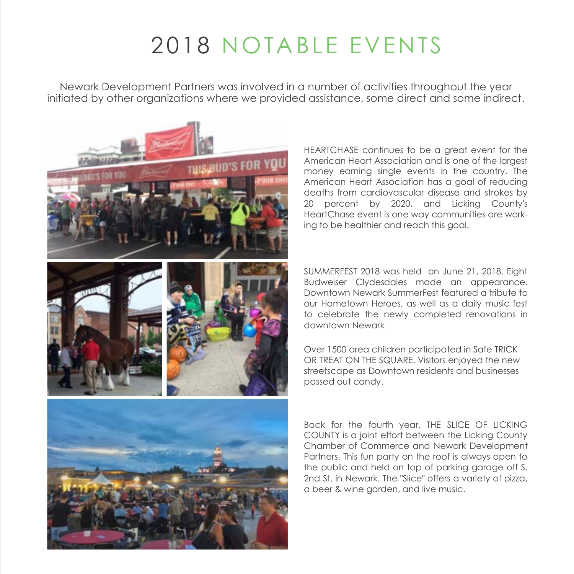# 2018 NOTABLE EVENTS

Newark Development Partners was involved in a number of activities throughout the year initiated by other organizations where we provided assistance, some direct and some indirect.



HEARTCHASE continues to be a great event for the American Heart Association and is one of the largest money earning single events in the country. The American Heart Association has a goal of reducing deaths from cardiovascular disease and strokes by 20 percent by 2020, and Licking County's HeartChase event is one way communities are working to be healthier and reach this goal.

SUMMERFEST 2018 was held on June 21, 2018. Eight Budweiser Clydesdales made an appearance. Downtown Newark SummerFest featured a tribute to our Hometown Heroes, as well as a daily music fest to celebrate the newly completed renovations in downtown Newark

Over 1500 area children participated in Safe TRICK OR TREAT ON THE SQUARE. Visitors enjoyed the new streetscape as Downtown residents and businesses passed out candy.

Back for the fourth year, THE SLICE OF LICKING COUNTY is a joint effort between the Licking County Chamber of Commerce and Newark Development Partners. This fun party on the roof is always open to the public and held on top of parking garage off S. 2nd St. in Newark. The "Slice" offers a variety of pizza, a beer & wine garden, and live music.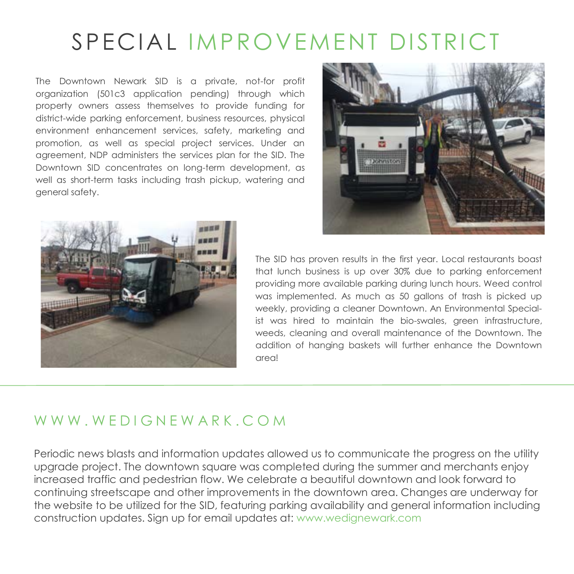### SPECIAL IMPROVEMENT DISTRICT

The Downtown Newark SID is a private, not-for profit organization (501c3 application pending) through which property owners assess themselves to provide funding for district-wide parking enforcement, business resources, physical environment enhancement services, safety, marketing and promotion, as well as special project services. Under an agreement, NDP administers the services plan for the SID. The Downtown SID concentrates on long-term development, as well as short-term tasks including trash pickup, watering and general safety.





The SID has proven results in the first year. Local restaurants boast that lunch business is up over 30% due to parking enforcement providing more available parking during lunch hours. Weed control was implemented. As much as 50 gallons of trash is picked up weekly, providing a cleaner Downtown. An Environmental Specialist was hired to maintain the bio-swales, green infrastructure, weeds, cleaning and overall maintenance of the Downtown. The addition of hanging baskets will further enhance the Downtown area!

### WWW WEDIGNEWARK COM

Periodic news blasts and information updates allowed us to communicate the progress on the utility upgrade project. The downtown square was completed during the summer and merchants enjoy increased traffic and pedestrian flow. We celebrate a beautiful downtown and look forward to continuing streetscape and other improvements in the downtown area. Changes are underway for the website to be utilized for the SID, featuring parking availability and general information including construction updates. Sign up for email updates at: www.wedignewark.com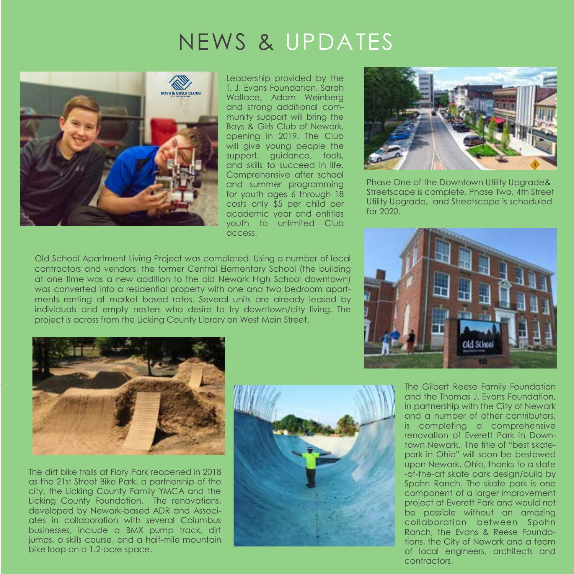# NEWS & UPDATES



Leadership provided by the T. J. Evans Foundation, Sarah Wallace, Adam Weinberg and strong additional community support will bring the Boys & Girls Club of Newark, opening in 2019. The Club will give young people the support, guidance, tools, and skills to succeed in life. Comprehensive after school and summer programming for youth ages 6 through 18 costs only \$5 per child per academic year and entitles youth to unlimited Club access.

Old School Apartment Living Project was completed. Using a number of local contractors and vendors, the former Central Elementary School (the building at one time was a new addition to the old Newark High School downtown) was converted into a residential property with one and two bedroom apartments renting at market based rates. Several units are already leased by individuals and empty nesters who desire to try downtown/city living. The project is across from the Licking County Library on West Main Street.



Phase One of the Downtown Utility Upgrade& Streetscape is complete. Phase Two, 4th Street Utility Upgrade, and Streetscape is scheduled for 2020.





The dirt bike trails at Flory Park reopened in 2018 as the 21st Street Bike Park, a partnership of the city, the Licking County Family YMCA and the Licking County Foundation. The renovations, developed by Newark-based ADR and Associates in collaboration with several Columbus businesses, include a BMX pump track, dirt jumps, a skills course, and a half-mile mountain bike loop on a 1.2-acre space.



The Gilbert Reese Family Foundation and the Thomas J. Evans Foundation, in partnership with the City of Newark and a number of other contributors, is completing a comprehensive renovation of Everett Park in Downtown Newark. The title of "best skatepark in Ohio" will soon be bestowed upon Newark, Ohio, thanks to a state -of-the-art skate park design/build by Spohn Ranch. The skate park is one component of a larger improvement project at Everett Park and would not be possible without an amazing collaboration between Spohn Ranch, the Evans & Reese Foundations, the City of Newark and a team of local engineers, architects and contractors.